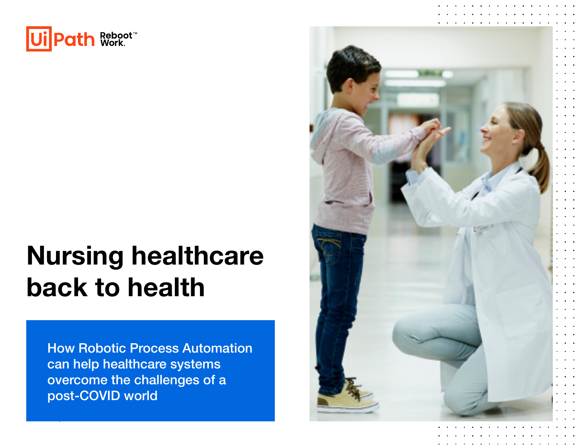

# Nursing healthcare back to health

How Robotic Process Automation can help healthcare systems overcome the challenges of a post-COVID world

[UIPATH.COM](https://www.uipath.com/) | NURSING HEALTHCARE BACK TO HEALTHCARE BACK TO HEALTHCARE BACK TO HEALTHCARE BACK TO HEALTHCARE BA

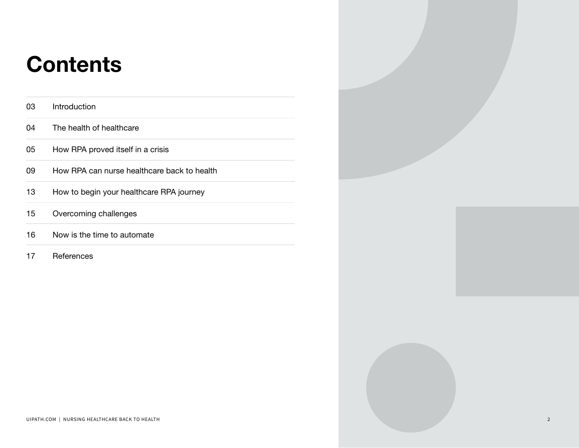## **Contents**

| 03 | Introduction                                |
|----|---------------------------------------------|
| 04 | The health of healthcare                    |
| 05 | How RPA proved itself in a crisis           |
| 09 | How RPA can nurse healthcare back to health |
| 13 | How to begin your healthcare RPA journey    |
| 15 | Overcoming challenges                       |
| 16 | Now is the time to automate                 |
| 17 | References                                  |

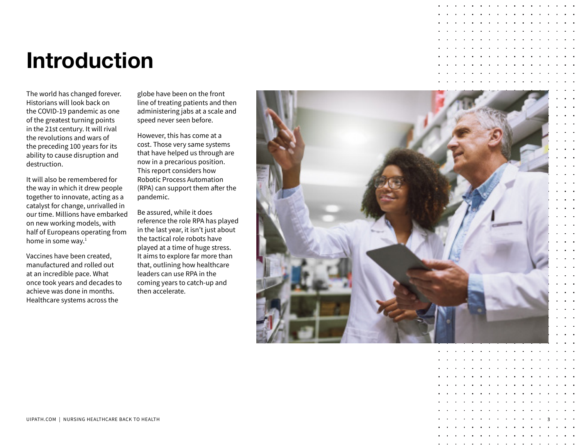## <span id="page-2-0"></span>Introduction

The world has changed forever. Historians will look back on the COVID-19 pandemic as one of the greatest turning points in the 21st century. It will rival the revolutions and wars of the preceding 100 years for its ability to cause disruption and destruction.

It will also be remembered for the way in which it drew people together to innovate, acting as a catalyst for change, unrivalled in our time. Millions have embarked on new working models, with half of Europeans operating from home in some way. [1](#page-16-0)

Vaccines have been created, manufactured and rolled out at an incredible pace. What once took years and decades to achieve was done in months. Healthcare systems across the

globe have been on the front line of treating patients and then administering jabs at a scale and speed never seen before.

However, this has come at a cost. Those very same systems that have helped us through are now in a precarious position. This report considers how Robotic Process Automation (RPA) can support them after the pandemic.

Be assured, while it does reference the role RPA has played in the last year, it isn't just about the tactical role robots have played at a time of huge stress. It aims to explore far more than that, outlining how healthcare leaders can use RPA in the coming years to catch-up and then accelerate.



3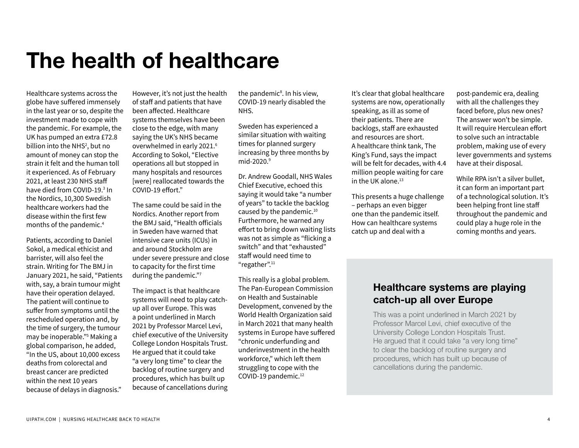### <span id="page-3-0"></span>The health of healthcare

Healthcare systems across the globe have suffered immensely in the last year or so, despite the investment made to cope with the pandemic. For example, the UK has pumped an extra £72.8 billion into the NHS<sup>2</sup>, but no amount of money can stop the strain it felt and the human toll it experienced. As of February 2021, at least 230 NHS staff have died from COVID-19.<sup>[3](#page-16-0)</sup> In the Nordics, 10,300 Swedish healthcare workers had the disease within the first few months of the pandemic[.4](#page-16-0)

Patients, according to Daniel Sokol, a medical ethicist and barrister, will also feel the strain. Writing for The BMJ in January 2021, he said, "Patients with, say, a brain tumour might have their operation delayed. The patient will continue to suffer from symptoms until the rescheduled operation and, by the time of surgery, the tumour may be inoperable."[5](#page-16-0) Making a global comparison, he added, "In the US, about 10,000 excess deaths from colorectal and breast cancer are predicted within the next 10 years because of delays in diagnosis."

However, it's not just the health of staff and patients that have been affected. Healthcare systems themselves have been close to the edge, with many saying the UK's NHS became overwhelmed in early 2021[.6](#page-16-0) According to Sokol, "Elective operations all but stopped in many hospitals and resources [were] reallocated towards the COVID-19 effort."

The same could be said in the Nordics. Another report from the BMJ said, "Health officials in Sweden have warned that intensive care units (ICUs) in and around Stockholm are under severe pressure and close to capacity for the first time during the pandemic."[7](#page-16-0)

The impact is that healthcare systems will need to play catchup all over Europe. This was a point underlined in March 2021 by Professor Marcel Levi, chief executive of the University College London Hospitals Trust. He argued that it could take "a very long time" to clear the backlog of routine surgery and procedures, which has built up because of cancellations during

the pandemic<sup>[8](#page-16-0)</sup>. In his view, COVID-19 nearly disabled the NHS.

Sweden has experienced a similar situation with waiting times for planned surgery increasing by three months by mid-2020.<sup>9</sup>

Dr. Andrew Goodall, NHS Wales Chief Executive, echoed this saying it would take "a number of years" to tackle the backlog caused by the pandemic.<sup>[10](#page-16-0)</sup> Furthermore, he warned any effort to bring down waiting lists was not as simple as "flicking a switch" and that "exhausted" staff would need time to "regather".[11](#page-16-0)

This really is a global problem. The Pan-European Commission on Health and Sustainable Development, convened by the World Health Organization said in March 2021 that many health systems in Europe have suffered "chronic underfunding and underinvestment in the health workforce," which left them struggling to cope with the COVID-19 pandemic.<sup>12</sup>

It's clear that global healthcare systems are now, operationally speaking, as ill as some of their patients. There are backlogs, staff are exhausted and resources are short. A healthcare think tank, The King's Fund, says the impact will be felt for decades, with 4.4 million people waiting for care in the UK alone.<sup>13</sup>

This presents a huge challenge – perhaps an even bigger one than the pandemic itself. How can healthcare systems catch up and deal with a

post-pandemic era, dealing with all the challenges they faced before, plus new ones? The answer won't be simple. It will require Herculean effort to solve such an intractable problem, making use of every lever governments and systems have at their disposal.

While RPA isn't a silver bullet, it can form an important part of a technological solution. It's been helping front line staff throughout the pandemic and could play a huge role in the coming months and years.

### Healthcare systems are playing catch-up all over Europe

This was a point underlined in March 2021 by Professor Marcel Levi, chief executive of the University College London Hospitals Trust. He argued that it could take "a very long time" to clear the backlog of routine surgery and procedures, which has built up because of cancellations during the pandemic.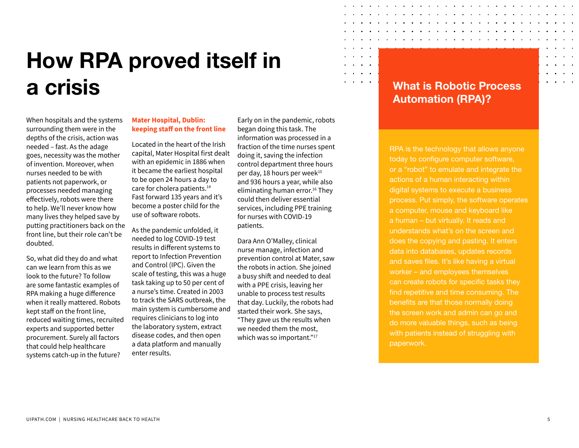## <span id="page-4-0"></span>How RPA proved itself in a crisis What is Robotic Process

When hospitals and the systems surrounding them were in the depths of the crisis, action was needed – fast. As the adage goes, necessity was the mother of invention. Moreover, when nurses needed to be with patients not paperwork, or processes needed managing effectively, robots were there to help. We'll never know how many lives they helped save by putting practitioners back on the front line, but their role can't be doubted.

So, what did they do and what can we learn from this as we look to the future? To follow are some fantastic examples of RPA making a huge difference when it really mattered. Robots kept staff on the front line, reduced waiting times, recruited experts and supported better procurement. Surely all factors that could help healthcare systems catch-up in the future?

#### **Mater Hospital, Dublin: keeping staff on the front line**

Located in the heart of the Irish capital, Mater Hospital first dealt with an epidemic in 1886 when it became the earliest hospital to be open 24 hours a day to care for cholera patients.<sup>[14](#page-16-0)</sup> Fast forward 135 years and it's become a poster child for the use of software robots.

As the pandemic unfolded, it needed to log COVID-19 test results in different systems to report to Infection Prevention and Control (IPC). Given the scale of testing, this was a huge task taking up to 50 per cent of a nurse's time. Created in 2003 to track the SARS outbreak, the main system is cumbersome and requires clinicians to log into the laboratory system, extract disease codes, and then open a data platform and manually enter results.

Early on in the pandemic, robots began doing this task. The information was processed in a fraction of the time nurses spent doing it, saving the infection control department three hours per day, 18 hours per week<sup>[15](#page-16-0)</sup> and 936 hours a year, while also eliminating human error.<sup>16</sup> They could then deliver essential services, including PPE training for nurses with COVID-19 patients.

Dara Ann O'Malley, clinical nurse manage, infection and prevention control at Mater, saw the robots in action. She joined a busy shift and needed to deal with a PPE crisis, leaving her unable to process test results that day. Luckily, the robots had started their work. She says, "They gave us the results when we needed them the most, which was so important."<sup>[17](#page-16-0)</sup>

## Automation (RPA)?

RPA is the technology that allows anyone today to configure computer software, or a "robot" to emulate and integrate the actions of a human interacting within digital systems to execute a business process. Put simply, the software operates a computer, mouse and keyboard like a human – but virtually. It reads and understands what's on the screen and does the copying and pasting. It enters data into databases, updates records and saves files. It's like having a virtual worker – and employees themselves can create robots for specific tasks they find repetitive and time consuming. The benefits are that those normally doing the screen work and admin can go and do more valuable things, such as being with patients instead of struggling with paperwork.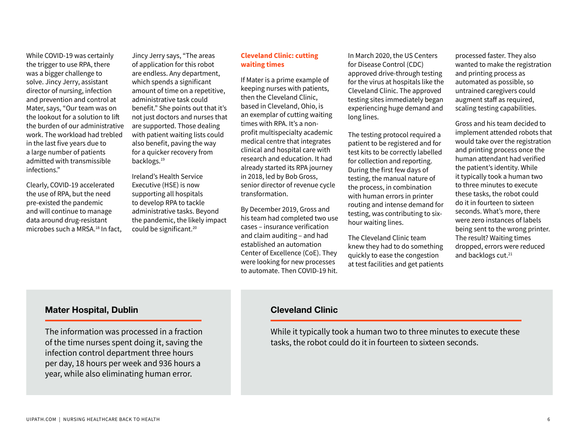While COVID-19 was certainly the trigger to use RPA, there was a bigger challenge to solve. Jincy Jerry, assistant director of nursing, infection and prevention and control at Mater, says, "Our team was on the lookout for a solution to lift the burden of our administrative work. The workload had trebled in the last five years due to a large number of patients admitted with transmissible infections."

Clearly, COVID-19 accelerated the use of RPA, but the need pre-existed the pandemic and will continue to manage data around drug-resistant microbes such a MRSA.[18](#page-16-0) In fact,

Jincy Jerry says, "The areas of application for this robot are endless. Any department, which spends a significant amount of time on a repetitive, administrative task could benefit." She points out that it's not just doctors and nurses that are supported. Those dealing with patient waiting lists could also benefit, paving the way for a quicker recovery from backlogs.[19](#page-16-0)

Ireland's Health Service Executive (HSE) is now supporting all hospitals to develop RPA to tackle administrative tasks. Beyond the pandemic, the likely impact could be significant.[20](#page-16-0)

#### **Cleveland Clinic: cutting waiting times**

If Mater is a prime example of keeping nurses with patients, then the Cleveland Clinic, based in Cleveland, Ohio, is an exemplar of cutting waiting times with RPA. It's a nonprofit multispecialty academic medical centre that integrates clinical and hospital care with research and education. It had already started its RPA journey in 2018, led by Bob Gross, senior director of revenue cycle transformation.

By December 2019, Gross and his team had completed two use cases – insurance verification and claim auditing – and had established an automation Center of Excellence (CoE). They were looking for new processes to automate. Then COVID-19 hit.

In March 2020, the US Centers for Disease Control (CDC) approved drive-through testing for the virus at hospitals like the Cleveland Clinic. The approved testing sites immediately began experiencing huge demand and long lines.

The testing protocol required a patient to be registered and for test kits to be correctly labelled for collection and reporting. During the first few days of testing, the manual nature of the process, in combination with human errors in printer routing and intense demand for testing, was contributing to sixhour waiting lines.

The Cleveland Clinic team knew they had to do something quickly to ease the congestion at test facilities and get patients

processed faster. They also wanted to make the registration and printing process as automated as possible, so untrained caregivers could augment staff as required, scaling testing capabilities.

Gross and his team decided to implement attended robots that would take over the registration and printing process once the human attendant had verified the patient's identity. While it typically took a human two to three minutes to execute these tasks, the robot could do it in fourteen to sixteen seconds. What's more, there were zero instances of labels being sent to the wrong printer. The result? Waiting times dropped, errors were reduced and backlogs cut.<sup>21</sup>

#### Mater Hospital, Dublin

The information was processed in a fraction of the time nurses spent doing it, saving the infection control department three hours per day, 18 hours per week and 936 hours a year, while also eliminating human error.

### Cleveland Clinic

While it typically took a human two to three minutes to execute these tasks, the robot could do it in fourteen to sixteen seconds.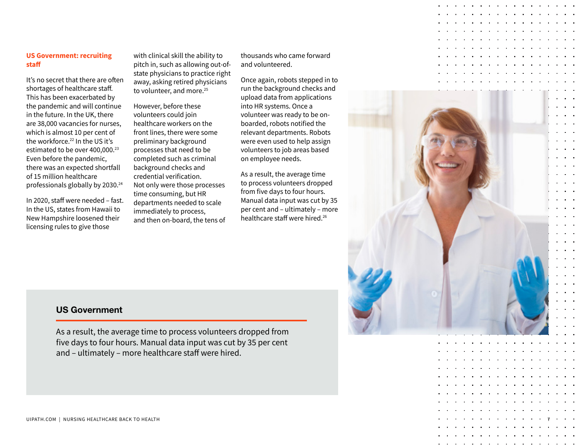#### **US Government: recruiting staff**

It's no secret that there are often shortages of healthcare staff. This has been exacerbated by the pandemic and will continue in the future. In the UK, there are 38,000 vacancies for nurses, which is almost 10 per cent of the workforce.<sup>[22](#page-15-0)</sup> In the US it's estimated to be over 400,000.<sup>[23](#page-16-0)</sup> Even before the pandemic, there was an expected shortfall of 15 million healthcare professionals globally by 2030[.24](#page-16-0)

In 2020, staff were needed – fast. In the US, states from Hawaii to New Hampshire loosened their licensing rules to give those

with clinical skill the ability to pitch in, such as allowing out-ofstate physicians to practice right away, asking retired physicians to volunteer, and more.<sup>25</sup>

However, before these volunteers could join healthcare workers on the front lines, there were some preliminary background processes that need to be completed such as criminal background checks and credential verification. Not only were those processes time consuming, but HR departments needed to scale immediately to process, and then on-board, the tens of

thousands who came forward and volunteered.

Once again, robots stepped in to run the background checks and upload data from applications into HR systems. Once a volunteer was ready to be onboarded, robots notified the relevant departments. Robots were even used to help assign volunteers to job areas based on employee needs.

As a result, the average time to process volunteers dropped from five days to four hours. Manual data input was cut by 35 per cent and – ultimately – more healthcare staff were hired.[26](#page-16-0)



### US Government

As a result, the average time to process volunteers dropped from five days to four hours. Manual data input was cut by 35 per cent and – ultimately – more healthcare staff were hired.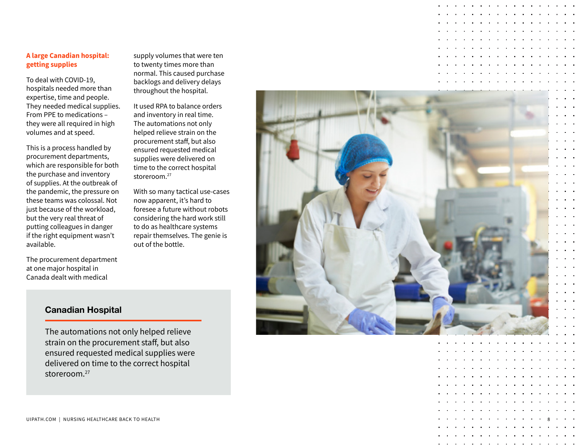#### **A large Canadian hospital: getting supplies**

To deal with COVID-19, hospitals needed more than expertise, time and people. They needed medical supplies. From PPE to medications – they were all required in high volumes and at speed.

This is a process handled by procurement departments, which are responsible for both the purchase and inventory of supplies. At the outbreak of the pandemic, the pressure on these teams was colossal. Not just because of the workload, but the very real threat of putting colleagues in danger if the right equipment wasn't available.

The procurement department at one major hospital in Canada dealt with medical

supply volumes that were ten to twenty times more than normal. This caused purchase backlogs and delivery delays throughout the hospital.

It used RPA to balance orders and inventory in real time. The automations not only helped relieve strain on the procurement staff, but also ensured requested medical supplies were delivered on time to the correct hospital storeroom.<sup>[27](#page-16-0)</sup>

With so many tactical use-cases now apparent, it's hard to foresee a future without robots considering the hard work still to do as healthcare systems repair themselves. The genie is out of the bottle.



8

### Canadian Hospital

The automations not only helped relieve strain on the procurement staff, but also ensured requested medical supplies were delivered on time to the correct hospital storeroom.27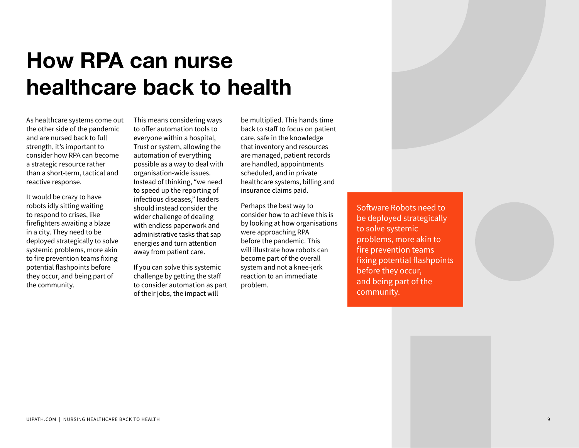## <span id="page-8-0"></span>How RPA can nurse healthcare back to health

As healthcare systems come out the other side of the pandemic and are nursed back to full strength, it's important to consider how RPA can become a strategic resource rather than a short-term, tactical and reactive response.

It would be crazy to have robots idly sitting waiting to respond to crises, like firefighters awaiting a blaze in a city. They need to be deployed strategically to solve systemic problems, more akin to fire prevention teams fixing potential flashpoints before they occur, and being part of the community.

This means considering ways to offer automation tools to everyone within a hospital, Trust or system, allowing the automation of everything possible as a way to deal with organisation-wide issues. Instead of thinking, "we need to speed up the reporting of infectious diseases," leaders should instead consider the wider challenge of dealing with endless paperwork and administrative tasks that sap energies and turn attention away from patient care.

If you can solve this systemic challenge by getting the staff to consider automation as part of their jobs, the impact will

be multiplied. This hands time back to staff to focus on patient care, safe in the knowledge that inventory and resources are managed, patient records are handled, appointments scheduled, and in private healthcare systems, billing and insurance claims paid.

Perhaps the best way to consider how to achieve this is by looking at how organisations were approaching RPA before the pandemic. This will illustrate how robots can become part of the overall system and not a knee-jerk reaction to an immediate problem.

Software Robots need to be deployed strategically to solve systemic problems, more akin to fire prevention teams fixing potential flashpoints before they occur, and being part of the community.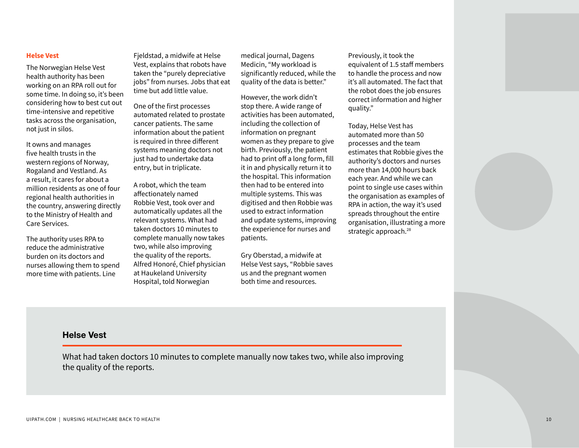#### **Helse Vest**

The Norwegian Helse Vest health authority has been working on an RPA roll out for some time. In doing so, it's been considering how to best cut out time-intensive and repetitive tasks across the organisation, not just in silos.

It owns and manages five health trusts in the western regions of Norway, Rogaland and Vestland. As a result, it cares for about a million residents as one of four regional health authorities in the country, answering directly to the Ministry of Health and Care Services.

The authority uses RPA to reduce the administrative burden on its doctors and nurses allowing them to spend more time with patients. Line

Fjeldstad, a midwife at Helse Vest, explains that robots have taken the "purely depreciative jobs" from nurses. Jobs that eat time but add little value.

One of the first processes automated related to prostate cancer patients. The same information about the patient is required in three different systems meaning doctors not just had to undertake data entry, but in triplicate.

A robot, which the team affectionately named Robbie Vest, took over and automatically updates all the relevant systems. What had taken doctors 10 minutes to complete manually now takes two, while also improving the quality of the reports. Alfred Honoré, Chief physician at Haukeland University Hospital, told Norwegian

medical journal, Dagens Medicin, "My workload is significantly reduced, while the quality of the data is better."

However, the work didn't stop there. A wide range of activities has been automated, including the collection of information on pregnant women as they prepare to give birth. Previously, the patient had to print off a long form, fill it in and physically return it to the hospital. This information then had to be entered into multiple systems. This was digitised and then Robbie was used to extract information and update systems, improving the experience for nurses and patients.

Gry Oberstad, a midwife at Helse Vest says, "Robbie saves us and the pregnant women both time and resources.

Previously, it took the equivalent of 1.5 staff members to handle the process and now it's all automated. The fact that the robot does the job ensures correct information and higher quality."

Today, Helse Vest has automated more than 50 processes and the team estimates that Robbie gives the authority's doctors and nurses more than 14,000 hours back each year. And while we can point to single use cases within the organisation as examples of RPA in action, the way it's used spreads throughout the entire organisation, illustrating a more strategic approach.<sup>28</sup>

### Helse Vest

What had taken doctors 10 minutes to complete manually now takes two, while also improving the quality of the reports.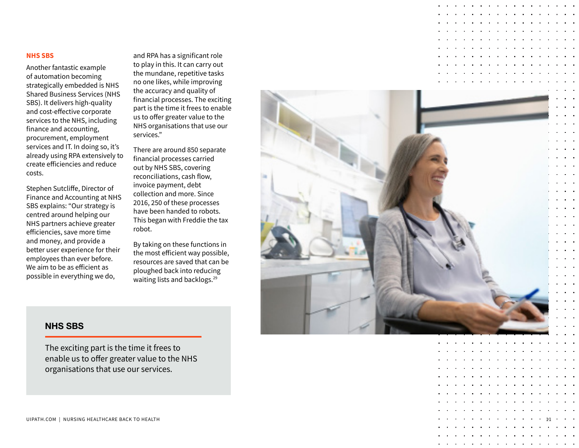#### **NHS SBS**

Another fantastic example of automation becoming strategically embedded is NHS Shared Business Services (NHS SBS). It delivers high-quality and cost-effective corporate services to the NHS, including finance and accounting, procurement, employment services and IT. In doing so, it's already using RPA extensively to create efficiencies and reduce costs.

Stephen Sutcliffe, Director of Finance and Accounting at NHS SBS explains: "Our strategy is centred around helping our NHS partners achieve greater efficiencies, save more time and money, and provide a better user experience for their employees than ever before. We aim to be as efficient as possible in everything we do,

and RPA has a significant role to play in this. It can carry out the mundane, repetitive tasks no one likes, while improving the accuracy and quality of financial processes. The exciting part is the time it frees to enable us to offer greater value to the NHS organisations that use our services."

There are around 850 separate financial processes carried out by NHS SBS, covering reconciliations, cash flow, invoice payment, debt collection and more. Since 2016, 250 of these processes have been handed to robots. This began with Freddie the tax robot.

By taking on these functions in the most efficient way possible, resources are saved that can be ploughed back into reducing waiting lists and backlogs.<sup>29</sup>



### NHS SBS

The exciting part is the time it frees to enable us to offer greater value to the NHS organisations that use our services.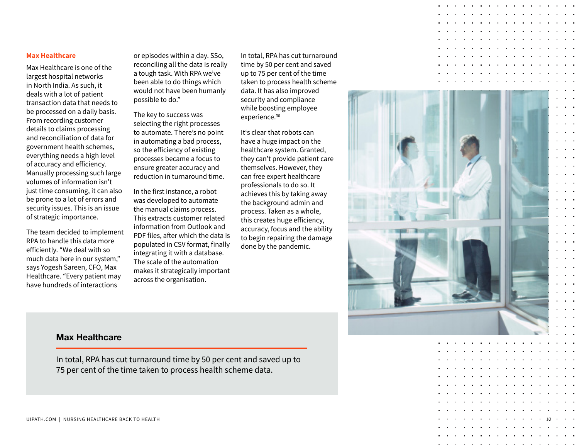#### **Max Healthcare**

Max Healthcare is one of the largest hospital networks in North India. As such, it deals with a lot of patient transaction data that needs to be processed on a daily basis. From recording customer details to claims processing and reconciliation of data for government health schemes, everything needs a high level of accuracy and efficiency. Manually processing such large volumes of information isn't just time consuming, it can also be prone to a lot of errors and security issues. This is an issue of strategic importance.

The team decided to implement RPA to handle this data more efficiently. "We deal with so much data here in our system," says Yogesh Sareen, CFO, Max Healthcare. "Every patient may have hundreds of interactions

or episodes within a day. SSo, reconciling all the data is really a tough task. With RPA we've been able to do things which would not have been humanly possible to do."

The key to success was selecting the right processes to automate. There's no point in automating a bad process, so the efficiency of existing processes became a focus to ensure greater accuracy and reduction in turnaround time.

In the first instance, a robot was developed to automate the manual claims process. This extracts customer related information from Outlook and PDF files, after which the data is populated in CSV format, finally integrating it with a database. The scale of the automation makes it strategically important across the organisation.

In total, RPA has cut turnaround time by 50 per cent and saved up to 75 per cent of the time taken to process health scheme data. It has also improved security and compliance while boosting employee experience.<sup>30</sup>

It's clear that robots can have a huge impact on the healthcare system. Granted, they can't provide patient care themselves. However, they can free expert healthcare professionals to do so. It achieves this by taking away the background admin and process. Taken as a whole, this creates huge efficiency, accuracy, focus and the ability to begin repairing the damage done by the pandemic.



### Max Healthcare

In total, RPA has cut turnaround time by 50 per cent and saved up to 75 per cent of the time taken to process health scheme data.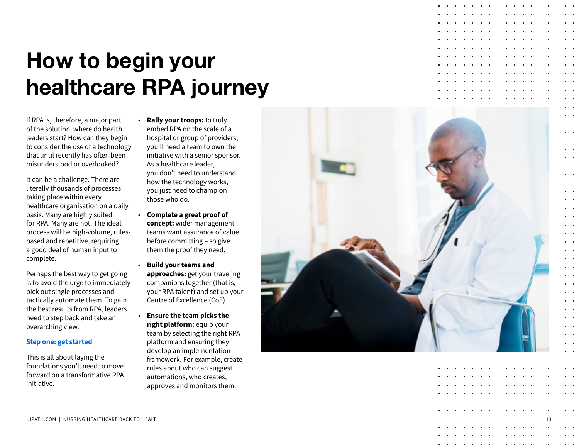## <span id="page-12-0"></span>How to begin your healthcare RPA journey

If RPA is, therefore, a major part of the solution, where do health leaders start? How can they begin to consider the use of a technology that until recently has often been misunderstood or overlooked?

It can be a challenge. There are literally thousands of processes taking place within every healthcare organisation on a daily basis. Many are highly suited for RPA. Many are not. The ideal process will be high-volume, rulesbased and repetitive, requiring a good deal of human input to complete.

Perhaps the best way to get going is to avoid the urge to immediately pick out single processes and tactically automate them. To gain the best results from RPA, leaders need to step back and take an overarching view.

#### **Step one: get started**

This is all about laying the foundations you'll need to move forward on a transformative RPA initiative.

• **Rally your troops:** to truly embed RPA on the scale of a hospital or group of providers, you'll need a team to own the initiative with a senior sponsor. As a healthcare leader, you don't need to understand how the technology works, you just need to champion those who do.

- **Complete a great proof of concept:** wider management teams want assurance of value before committing – so give them the proof they need.
- **Build your teams and approaches:** get your traveling companions together (that is, your RPA talent) and set up your Centre of Excellence (CoE).
- **Ensure the team picks the right platform:** equip your team by selecting the right RPA platform and ensuring they develop an implementation framework. For example, create rules about who can suggest automations, who creates, approves and monitors them.

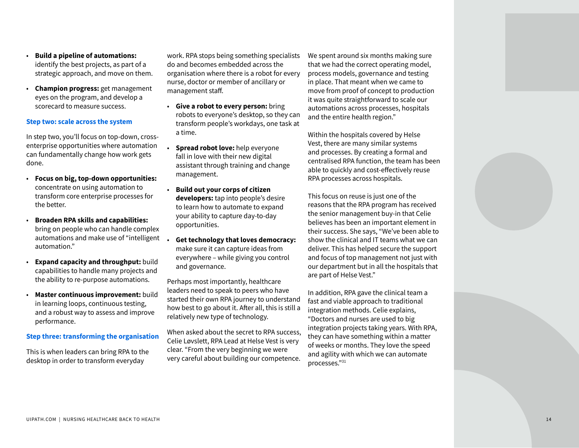- identify the best projects, as part of a strategic approach, and move on them.
- **Champion progress:** get management eyes on the program, and develop a scorecard to measure success.

#### **Step two: scale across the system**

In step two, you'll focus on top-down, crossenterprise opportunities where automation can fundamentally change how work gets done. • **Focus on big, top-down opportunities:**

- concentrate on using automation to transform core enterprise processes for the better.
- **Broaden RPA skills and capabilities:** bring on people who can handle complex automations and make use of "intelligent automation."
- **Expand capacity and throughput:** build capabilities to handle many projects and the ability to re-purpose automations.
- **Master continuous improvement:** build in learning loops, continuous testing, and a robust way to assess and improve performance.

#### **Step three: transforming the organisation**

This is when leaders can bring RPA to the desktop in order to transform everyday

work. RPA stops being something specialists do and becomes embedded across the organisation where there is a robot for every nurse, doctor or member of ancillary or management staff.

- **Give a robot to every person:** bring robots to everyone's desktop, so they can transform people's workdays, one task at a time.
- **Spread robot love:** help everyone fall in love with their new digital assistant through training and change management.
- **Build out your corps of citizen developers:** tap into people's desire to learn how to automate to expand your ability to capture day-to-day opportunities.
- **Get technology that loves democracy:**  make sure it can capture ideas from everywhere – while giving you control and governance.

Perhaps most importantly, healthcare leaders need to speak to peers who have started their own RPA journey to understand how best to go about it. After all, this is still a relatively new type of technology.

When asked about the secret to RPA success, Celie Løvslett, RPA Lead at Helse Vest is very clear. "From the very beginning we were very careful about building our competence. We spent around six months making sure that we had the correct operating model, process models, governance and testing in place. That meant when we came to move from proof of concept to production it was quite straightforward to scale our automations across processes, hospitals and the entire health region."

Within the hospitals covered by Helse Vest, there are many similar systems and processes. By creating a formal and centralised RPA function, the team has been able to quickly and cost-effectively reuse RPA processes across hospitals.

**UNIER A CONSIDER A CONSIDER A CONSIDER A CONSIDER A CONSIDER A CONSIDER A CONSIDERATE CONSIDERATION CONSIDER A CONSIDERATION CONSIDER A CONSIDERATION CONSIDER A CONSIDERATION CONSIDER A CONSIDERATION CONSIDER A CONSIDER** This focus on reuse is just one of the reasons that the RPA program has received the senior management buy-in that Celie believes has been an important element in their success. She says, "We've been able to show the clinical and IT teams what we can deliver. This has helped secure the support and focus of top management not just with our department but in all the hospitals that are part of Helse Vest."

In addition, RPA gave the clinical team a fast and viable approach to traditional integration methods. Celie explains, "Doctors and nurses are used to big integration projects taking years. With RPA, they can have something within a matter of weeks or months. They love the speed and agility with which we can automate processes."[31](#page-16-0)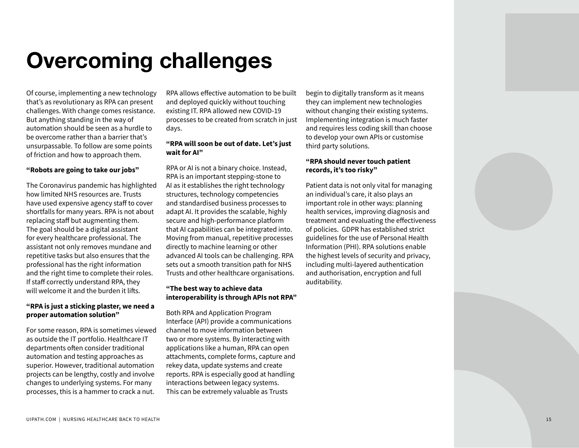## <span id="page-14-0"></span>Overcoming challenges

Of course, implementing a new technology that's as revolutionary as RPA can present challenges. With change comes resistance. But anything standing in the way of automation should be seen as a hurdle to be overcome rather than a barrier that's unsurpassable. To follow are some points of friction and how to approach them.

#### **"Robots are going to take our jobs"**

The Coronavirus pandemic has highlighted how limited NHS resources are. Trusts have used expensive agency staff to cover shortfalls for many years. RPA is not about replacing staff but augmenting them. The goal should be a digital assistant for every healthcare professional. The assistant not only removes mundane and repetitive tasks but also ensures that the professional has the right information and the right time to complete their roles. If staff correctly understand RPA, they will welcome it and the burden it lifts.

#### **"RPA is just a sticking plaster, we need a proper automation solution"**

For some reason, RPA is sometimes viewed as outside the IT portfolio. Healthcare IT departments often consider traditional automation and testing approaches as superior. However, traditional automation projects can be lengthy, costly and involve changes to underlying systems. For many processes, this is a hammer to crack a nut.

RPA allows effective automation to be built and deployed quickly without touching existing IT. RPA allowed new COVID-19 processes to be created from scratch in just days.

#### **"RPA will soon be out of date. Let's just wait for AI"**

RPA or AI is not a binary choice. Instead, RPA is an important stepping-stone to AI as it establishes the right technology structures, technology competencies and standardised business processes to adapt AI. It provides the scalable, highly secure and high-performance platform that AI capabilities can be integrated into. Moving from manual, repetitive processes directly to machine learning or other advanced AI tools can be challenging. RPA sets out a smooth transition path for NHS Trusts and other healthcare organisations.

#### **"The best way to achieve data interoperability is through APIs not RPA"**

Both RPA and Application Program Interface (API) provide a communications channel to move information between two or more systems. By interacting with applications like a human, RPA can open attachments, complete forms, capture and rekey data, update systems and create reports. RPA is especially good at handling interactions between legacy systems. This can be extremely valuable as Trusts

begin to digitally transform as it means they can implement new technologies without changing their existing systems. Implementing integration is much faster and requires less coding skill than choose to develop your own APIs or customise third party solutions.

#### **"RPA should never touch patient records, it's too risky"**

Patient data is not only vital for managing an individual's care, it also plays an important role in other ways: planning health services, improving diagnosis and treatment and evaluating the effectiveness of policies. GDPR has established strict guidelines for the use of Personal Health Information (PHI). RPA solutions enable the highest levels of security and privacy, including multi-layered authentication and authorisation, encryption and full auditability.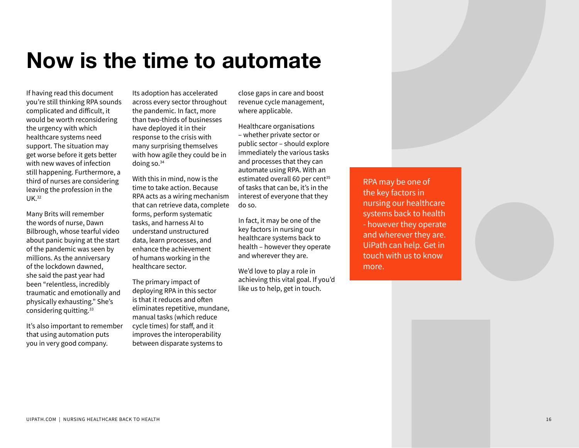## <span id="page-15-0"></span>Now is the time to automate

If having read this document you're still thinking RPA sounds complicated and difficult, it would be worth reconsidering the urgency with which healthcare systems need support. The situation may get worse before it gets better with new waves of infection still happening. Furthermore, a third of nurses are considering leaving the profession in the UK.[32](#page-16-0)

Many Brits will remember the words of nurse, Dawn Bilbrough, whose tearful video about panic buying at the start of the pandemic was seen by millions. As the anniversary of the lockdown dawned, she said the past year had been "relentless, incredibly traumatic and emotionally and physically exhausting." She's considering quitting.<sup>33</sup>

It's also important to remember that using automation puts you in very good company.

Its adoption has accelerated across every sector throughout the pandemic. In fact, more than two-thirds of businesses have deployed it in their response to the crisis with many surprising themselves with how agile they could be in doing so.[34](#page-16-0) 

With this in mind, now is the time to take action. Because RPA acts as a wiring mechanism that can retrieve data, complete forms, perform systematic tasks, and harness AI to understand unstructured data, learn processes, and enhance the achievement of humans working in the healthcare sector.

The primary impact of deploying RPA in this sector is that it reduces and often eliminates repetitive, mundane, manual tasks (which reduce cycle times) for staff, and it improves the interoperability between disparate systems to

close gaps in care and boost revenue cycle management, where applicable.

Healthcare organisations – whether private sector or public sector – should explore immediately the various tasks and processes that they can automate using RPA. With an estimated overall 60 per cent<sup>35</sup> of tasks that can be, it's in the interest of everyone that they do so.

In fact, it may be one of the key factors in nursing our healthcare systems back to health – however they operate and wherever they are.

We'd love to play a role in achieving this vital goal. If you'd like us to help, get in touch.

RPA may be one of the key factors in nursing our healthcare systems back to health - however they operate and wherever they are. UiPath can help. Get in touch with us to know more.